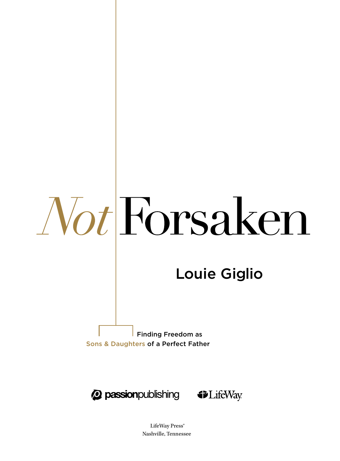# Louie Giglio

 Finding Freedom as Sons & Daughters of a Perfect Father





LifeWay Press® Nashville, Tennessee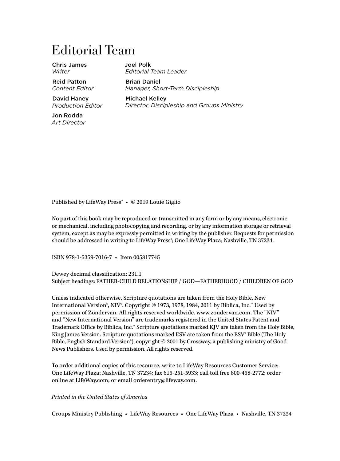### Editorial Team

Chris James *Writer*

Reid Patton *Content Editor*

David Haney *Production Editor*

Jon Rodda *Art Director* Joel Polk *Editorial Team Leader*

Brian Daniel *Manager, Short-Term Discipleship*

Michael Kelley *Director, Discipleship and Groups Ministry*

Published by LifeWay Press® • © 2019 Louie Giglio

No part of this book may be reproduced or transmitted in any form or by any means, electronic or mechanical, including photocopying and recording, or by any information storage or retrieval system, except as may be expressly permitted in writing by the publisher. Requests for permission should be addressed in writing to LifeWay Press<sup>®</sup>; One LifeWay Plaza; Nashville, TN 37234.

ISBN 978-1-5359-7016-7 • Item 005817745

Dewey decimal classification: 231.1 Subject headings: FATHER-CHILD RELATIONSHIP / GOD—FATHERHOOD / CHILDREN OF GOD

Unless indicated otherwise, Scripture quotations are taken from the Holy Bible, New International Version®, NIV®. Copyright © 1973, 1978, 1984, 2011 by Biblica, Inc.™ Used by permission of Zondervan. All rights reserved worldwide. www.zondervan.com. The "NIV" and "New International Version" are trademarks registered in the United States Patent and Trademark Office by Biblica, Inc.™ Scripture quotations marked KJV are taken from the Holy Bible, King James Version. Scripture quotations marked ESV are taken from the ESV® Bible (The Holy Bible, English Standard Version®), copyright © 2001 by Crossway, a publishing ministry of Good News Publishers. Used by permission. All rights reserved.

To order additional copies of this resource, write to LifeWay Resources Customer Service; One LifeWay Plaza; Nashville, TN 37234; fax 615-251-5933; call toll free 800-458-2772; order online at LifeWay.com; or email orderentry@lifeway.com.

*Printed in the United States of America*

Groups Ministry Publishing • LifeWay Resources • One LifeWay Plaza • Nashville, TN 37234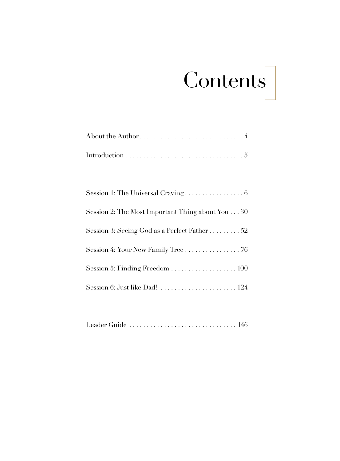# Contents

| Session 2: The Most Important Thing about You30                         |
|-------------------------------------------------------------------------|
| Session 3: Seeing God as a Perfect Father 52                            |
| Session 4: Your New Family Tree $\ldots \ldots \ldots \ldots \ldots$ 76 |
|                                                                         |
|                                                                         |

|--|--|--|--|--|--|--|--|--|--|--|--|--|--|--|--|--|--|--|--|--|--|--|--|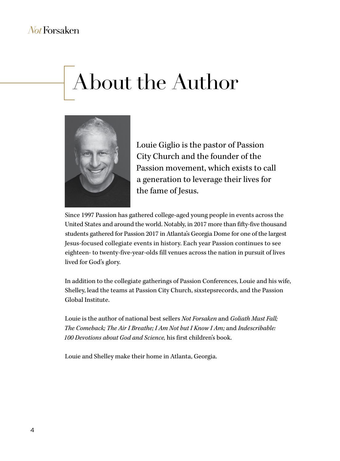# About the Author



Louie Giglio is the pastor of Passion City Church and the founder of the Passion movement, which exists to call a generation to leverage their lives for the fame of Jesus.

Since 1997 Passion has gathered college-aged young people in events across the United States and around the world. Notably, in 2017 more than fifty-five thousand students gathered for Passion 2017 in Atlanta's Georgia Dome for one of the largest Jesus-focused collegiate events in history. Each year Passion continues to see eighteen- to twenty-five-year-olds fill venues across the nation in pursuit of lives lived for God's glory.

In addition to the collegiate gatherings of Passion Conferences, Louie and his wife, Shelley, lead the teams at Passion City Church, sixstepsrecords, and the Passion Global Institute.

Louie is the author of national best sellers *Not Forsaken* and *Goliath Must Fall; The Comeback; The Air I Breathe; I Am Not but I Know I Am;* and *Indescribable: 100 Devotions about God and Science,* his first children's book.

Louie and Shelley make their home in Atlanta, Georgia.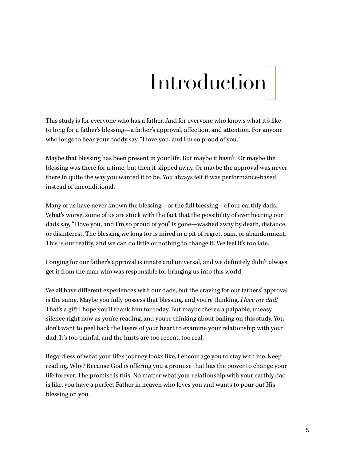# **Introduction**

This study is for everyone who has a father. And for everyone who knows what it's like to long for a father's blessing—a father's approval, affection, and attention. For anyone who longs to hear your daddy say, "I love you, and I'm so proud of you."

Maybe that blessing has been present in your life. But maybe it hasn't. Or maybe the blessing was there for a time, but then it slipped away. Or maybe the approval was never there in quite the way you wanted it to be. You always felt it was performance-based instead of unconditional.

Many of us have never known the blessing—or the full blessing—of our earthly dads. What's worse, some of us are stuck with the fact that the possibility of ever hearing our dads say, "I love you, and I'm so proud of you" is gone—washed away by death, distance, or disinterest. The blessing we long for is mired in a pit of regret, pain, or abandonment. This is our reality, and we can do little or nothing to change it. We feel it's too late.

Longing for our father's approval is innate and universal, and we definitely didn't always get it from the man who was responsible for bringing us into this world.

We all have different experiences with our dads, but the craving for our fathers' approval is the same. Maybe you fully possess that blessing, and you're thinking, *I love my dad!* That's a gift I hope you'll thank him for today. But maybe there's a palpable, uneasy silence right now as you're reading, and you're thinking about bailing on this study. You don't want to peel back the layers of your heart to examine your relationship with your dad. It's too painful, and the hurts are too recent, too real.

Regardless of what your life's journey looks like, I encourage you to stay with me. Keep reading. Why? Because God is offering you a promise that has the power to change your life forever. The promise is this. No matter what your relationship with your earthly dad is like, you have a perfect Father in heaven who loves you and wants to pour out His blessing on you.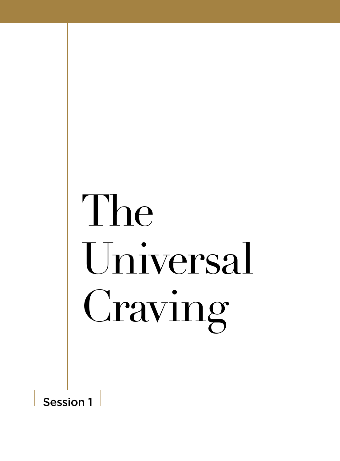# The Universal Craving

Session 1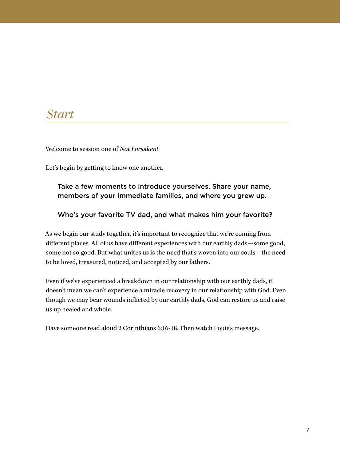#### *Start*

Welcome to session one of Not Forsaken!

Let's begin by getting to know one another.

#### Take a few moments to introduce yourselves. Share your name, members of your immediate families, and where you grew up.

#### Who's your favorite TV dad, and what makes him your favorite?

As we begin our study together, it's important to recognize that we're coming from different places. All of us have different experiences with our earthly dads—some good, some not so good. But what unites us is the need that's woven into our souls—the need to be loved, treasured, noticed, and accepted by our fathers.

Even if we've experienced a breakdown in our relationship with our earthly dads, it doesn't mean we can't experience a miracle recovery in our relationship with God. Even though we may bear wounds inflicted by our earthly dads, God can restore us and raise us up healed and whole.

Have someone read aloud 2 Corinthians 6:16-18. Then watch Louie's message.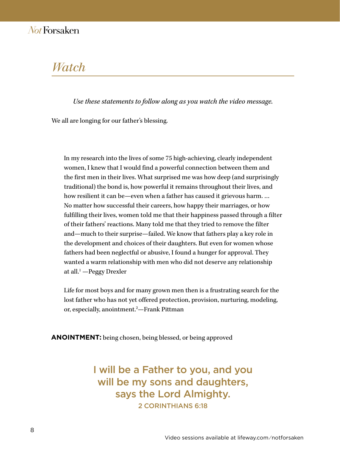#### *Watch*

*Use these statements to follow along as you watch the video message.* 

We all are longing for our father's blessing.

In my research into the lives of some 75 high-achieving, clearly independent women, I knew that I would find a powerful connection between them and the first men in their lives. What surprised me was how deep (and surprisingly traditional) the bond is, how powerful it remains throughout their lives, and how resilient it can be—even when a father has caused it grievous harm. … No matter how successful their careers, how happy their marriages, or how fulfilling their lives, women told me that their happiness passed through a filter of their fathers' reactions. Many told me that they tried to remove the filter and—much to their surprise—failed. We know that fathers play a key role in the development and choices of their daughters. But even for women whose fathers had been neglectful or abusive, I found a hunger for approval. They wanted a warm relationship with men who did not deserve any relationship at all.<sup>1</sup> —Peggy Drexler

Life for most boys and for many grown men then is a frustrating search for the lost father who has not yet offered protection, provision, nurturing, modeling, or, especially, anointment.<sup>2</sup>—Frank Pittman

**ANOINTMENT:** being chosen, being blessed, or being approved

I will be a Father to you, and you will be my sons and daughters, says the Lord Almighty. 2 CORINTHIANS 6:18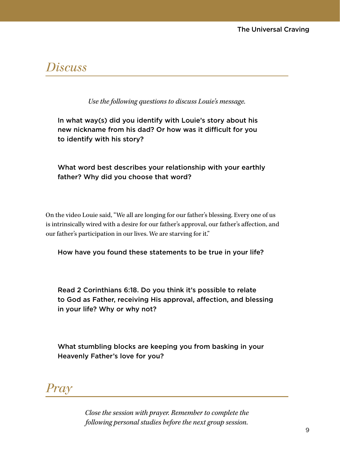#### *Discuss*

*Use the following questions to discuss Louie's message.*

In what way(s) did you identify with Louie's story about his new nickname from his dad? Or how was it difficult for you to identify with his story?

#### What word best describes your relationship with your earthly father? Why did you choose that word?

On the video Louie said, "We all are longing for our father's blessing. Every one of us is intrinsically wired with a desire for our father's approval, our father's affection, and our father's participation in our lives. We are starving for it."

How have you found these statements to be true in your life?

Read 2 Corinthians 6:18. Do you think it's possible to relate to God as Father, receiving His approval, affection, and blessing in your life? Why or why not?

What stumbling blocks are keeping you from basking in your Heavenly Father's love for you?



*Close the session with prayer. Remember to complete the following personal studies before the next group session.*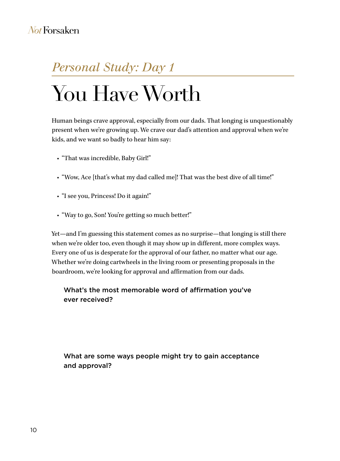### *Personal Study: Day 1*

# You Have Worth

Human beings crave approval, especially from our dads. That longing is unquestionably present when we're growing up. We crave our dad's attention and approval when we're kids, and we want so badly to hear him say:

- "That was incredible, Baby Girl!"
- "Wow, Ace [that's what my dad called me]! That was the best dive of all time!"
- "I see you, Princess! Do it again!"
- "Way to go, Son! You're getting so much better!"

Yet—and I'm guessing this statement comes as no surprise—that longing is still there when we're older too, even though it may show up in different, more complex ways. Every one of us is desperate for the approval of our father, no matter what our age. Whether we're doing cartwheels in the living room or presenting proposals in the boardroom, we're looking for approval and affirmation from our dads.

#### What's the most memorable word of affirmation you've ever received?

What are some ways people might try to gain acceptance and approval?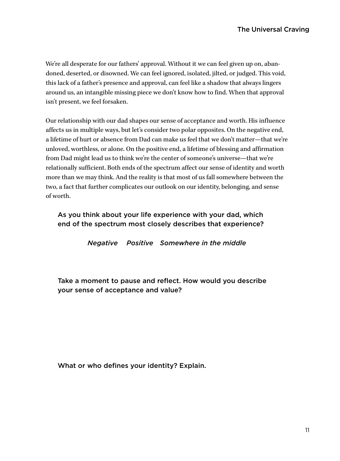We're all desperate for our fathers' approval. Without it we can feel given up on, abandoned, deserted, or disowned. We can feel ignored, isolated, jilted, or judged. This void, this lack of a father's presence and approval, can feel like a shadow that always lingers around us, an intangible missing piece we don't know how to find. When that approval isn't present, we feel forsaken.

Our relationship with our dad shapes our sense of acceptance and worth. His influence affects us in multiple ways, but let's consider two polar opposites. On the negative end, a lifetime of hurt or absence from Dad can make us feel that we don't matter—that we're unloved, worthless, or alone. On the positive end, a lifetime of blessing and affirmation from Dad might lead us to think we're the center of someone's universe—that we're relationally sufficient. Both ends of the spectrum affect our sense of identity and worth more than we may think. And the reality is that most of us fall somewhere between the two, a fact that further complicates our outlook on our identity, belonging, and sense of worth.

As you think about your life experience with your dad, which end of the spectrum most closely describes that experience?

*Negative Positive Somewhere in the middle*

Take a moment to pause and reflect. How would you describe your sense of acceptance and value?

What or who defines your identity? Explain.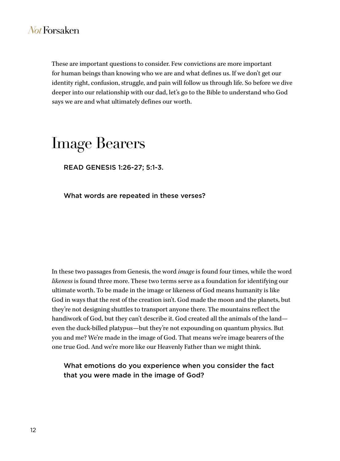These are important questions to consider. Few convictions are more important for human beings than knowing who we are and what defines us. If we don't get our identity right, confusion, struggle, and pain will follow us through life. So before we dive deeper into our relationship with our dad, let's go to the Bible to understand who God says we are and what ultimately defines our worth.

### Image Bearers

READ GENESIS 1:26-27; 5:1-3.

What words are repeated in these verses?

In these two passages from Genesis, the word *image* is found four times, while the word *likeness* is found three more. These two terms serve as a foundation for identifying our ultimate worth. To be made in the image or likeness of God means humanity is like God in ways that the rest of the creation isn't. God made the moon and the planets, but they're not designing shuttles to transport anyone there. The mountains reflect the handiwork of God, but they can't describe it. God created all the animals of the land even the duck-billed platypus—but they're not expounding on quantum physics. But you and me? We're made in the image of God. That means we're image bearers of the one true God. And we're more like our Heavenly Father than we might think.

What emotions do you experience when you consider the fact that you were made in the image of God?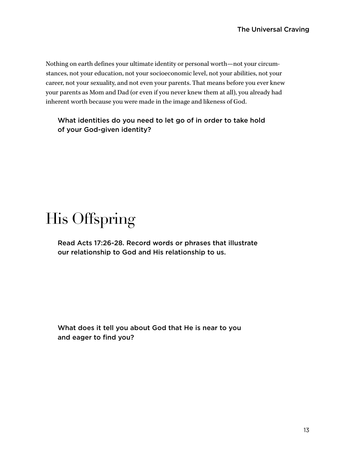Nothing on earth defines your ultimate identity or personal worth—not your circumstances, not your education, not your socioeconomic level, not your abilities, not your career, not your sexuality, and not even your parents. That means before you ever knew your parents as Mom and Dad (or even if you never knew them at all), you already had inherent worth because you were made in the image and likeness of God.

#### What identities do you need to let go of in order to take hold of your God-given identity?

# His Offspring

Read Acts 17:26-28. Record words or phrases that illustrate our relationship to God and His relationship to us.

What does it tell you about God that He is near to you and eager to find you?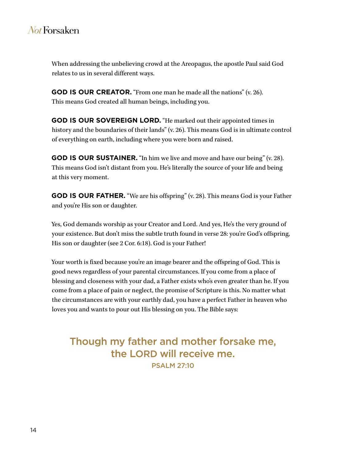When addressing the unbelieving crowd at the Areopagus, the apostle Paul said God relates to us in several different ways.

**GOD IS OUR CREATOR.** "From one man he made all the nations" (v. 26). This means God created all human beings, including you.

**GOD IS OUR SOVEREIGN LORD.** "He marked out their appointed times in history and the boundaries of their lands" (v. 26). This means God is in ultimate control of everything on earth, including where you were born and raised.

**GOD IS OUR SUSTAINER.** "In him we live and move and have our being" (v. 28). This means God isn't distant from you. He's literally the source of your life and being at this very moment.

**GOD IS OUR FATHER.** "We are his offspring" (v. 28). This means God is your Father and you're His son or daughter.

Yes, God demands worship as your Creator and Lord. And yes, He's the very ground of your existence. But don't miss the subtle truth found in verse 28: you're God's offspring, His son or daughter (see 2 Cor. 6:18). God is your Father!

Your worth is fixed because you're an image bearer and the offspring of God. This is good news regardless of your parental circumstances. If you come from a place of blessing and closeness with your dad, a Father exists who's even greater than he. If you come from a place of pain or neglect, the promise of Scripture is this. No matter what the circumstances are with your earthly dad, you have a perfect Father in heaven who loves you and wants to pour out His blessing on you. The Bible says:

Though my father and mother forsake me, the LORD will receive me. PSALM 27:10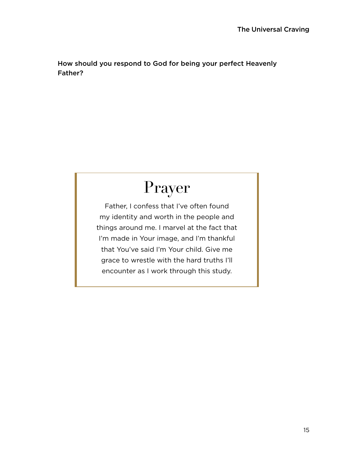How should you respond to God for being your perfect Heavenly Father?

# Prayer

Father, I confess that I've often found my identity and worth in the people and things around me. I marvel at the fact that I'm made in Your image, and I'm thankful that You've said I'm Your child. Give me grace to wrestle with the hard truths I'll encounter as I work through this study.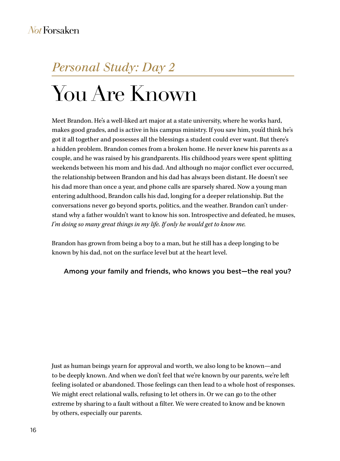### *Personal Study: Day 2*

# You Are Known

Meet Brandon. He's a well-liked art major at a state university, where he works hard, makes good grades, and is active in his campus ministry. If you saw him, you'd think he's got it all together and possesses all the blessings a student could ever want. But there's a hidden problem. Brandon comes from a broken home. He never knew his parents as a couple, and he was raised by his grandparents. His childhood years were spent splitting weekends between his mom and his dad. And although no major conflict ever occurred, the relationship between Brandon and his dad has always been distant. He doesn't see his dad more than once a year, and phone calls are sparsely shared. Now a young man entering adulthood, Brandon calls his dad, longing for a deeper relationship. But the conversations never go beyond sports, politics, and the weather. Brandon can't understand why a father wouldn't want to know his son. Introspective and defeated, he muses, *I'm doing so many great things in my life. If only he would get to know me.*

Brandon has grown from being a boy to a man, but he still has a deep longing to be known by his dad, not on the surface level but at the heart level.

#### Among your family and friends, who knows you best—the real you?

Just as human beings yearn for approval and worth, we also long to be known—and to be deeply known. And when we don't feel that we're known by our parents, we're left feeling isolated or abandoned. Those feelings can then lead to a whole host of responses. We might erect relational walls, refusing to let others in. Or we can go to the other extreme by sharing to a fault without a filter. We were created to know and be known by others, especially our parents.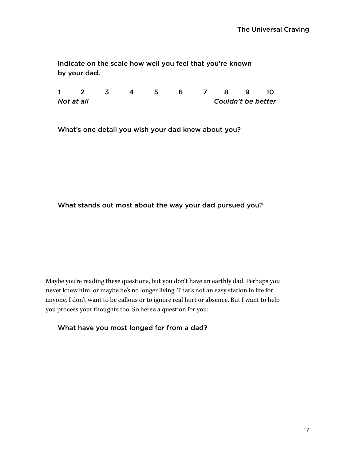Indicate on the scale how well you feel that you're known by your dad.

1 2 3 4 5 6 7 8 9 10 *Not at all Couldn't be better*

What's one detail you wish your dad knew about you?

#### What stands out most about the way your dad pursued you?

Maybe you're reading these questions, but you don't have an earthly dad. Perhaps you never knew him, or maybe he's no longer living. That's not an easy station in life for anyone. I don't want to be callous or to ignore real hurt or absence. But I want to help you process your thoughts too. So here's a question for you:

What have you most longed for from a dad?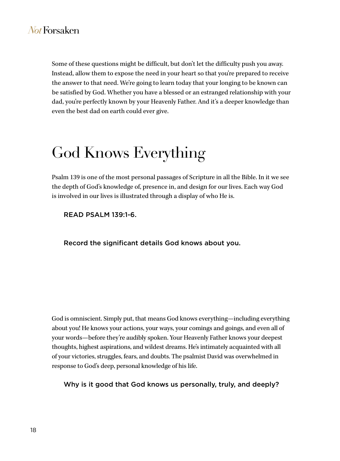Some of these questions might be difficult, but don't let the difficulty push you away. Instead, allow them to expose the need in your heart so that you're prepared to receive the answer to that need. We're going to learn today that your longing to be known can be satisfied by God. Whether you have a blessed or an estranged relationship with your dad, you're perfectly known by your Heavenly Father. And it's a deeper knowledge than even the best dad on earth could ever give.

# God Knows Everything

Psalm 139 is one of the most personal passages of Scripture in all the Bible. In it we see the depth of God's knowledge of, presence in, and design for our lives. Each way God is involved in our lives is illustrated through a display of who He is.

READ PSALM 139:1-6.

Record the significant details God knows about you.

God is omniscient. Simply put, that means God knows everything—including everything about you! He knows your actions, your ways, your comings and goings, and even all of your words—before they're audibly spoken. Your Heavenly Father knows your deepest thoughts, highest aspirations, and wildest dreams. He's intimately acquainted with all of your victories, struggles, fears, and doubts. The psalmist David was overwhelmed in response to God's deep, personal knowledge of his life.

Why is it good that God knows us personally, truly, and deeply?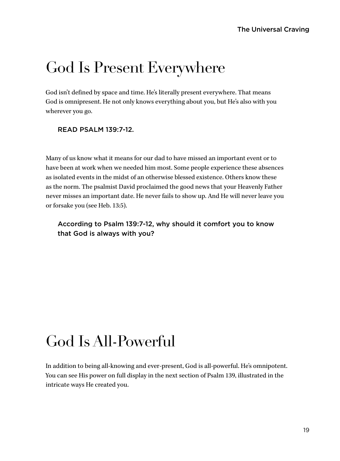### God Is Present Everywhere

God isn't defined by space and time. He's literally present everywhere. That means God is omnipresent. He not only knows everything about you, but He's also with you wherever you go.

#### READ PSALM 139:7-12.

Many of us know what it means for our dad to have missed an important event or to have been at work when we needed him most. Some people experience these absences as isolated events in the midst of an otherwise blessed existence. Others know these as the norm. The psalmist David proclaimed the good news that your Heavenly Father never misses an important date. He never fails to show up. And He will never leave you or forsake you (see Heb. 13:5).

According to Psalm 139:7-12, why should it comfort you to know that God is always with you?

## God Is All-Powerful

In addition to being all-knowing and ever-present, God is all-powerful. He's omnipotent. You can see His power on full display in the next section of Psalm 139, illustrated in the intricate ways He created you.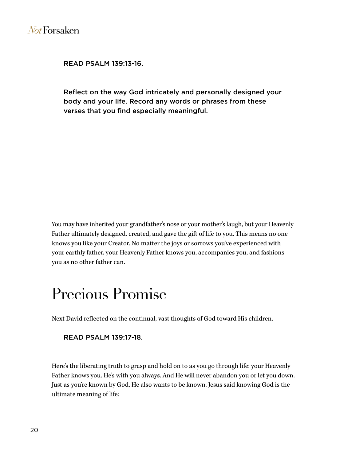READ PSALM 139:13-16.

Reflect on the way God intricately and personally designed your body and your life. Record any words or phrases from these verses that you find especially meaningful.

You may have inherited your grandfather's nose or your mother's laugh, but your Heavenly Father ultimately designed, created, and gave the gift of life to you. This means no one knows you like your Creator. No matter the joys or sorrows you've experienced with your earthly father, your Heavenly Father knows you, accompanies you, and fashions you as no other father can.

### Precious Promise

Next David reflected on the continual, vast thoughts of God toward His children.

#### READ PSALM 139:17-18.

Here's the liberating truth to grasp and hold on to as you go through life: your Heavenly Father knows you. He's with you always. And He will never abandon you or let you down. Just as you're known by God, He also wants to be known. Jesus said knowing God is the ultimate meaning of life: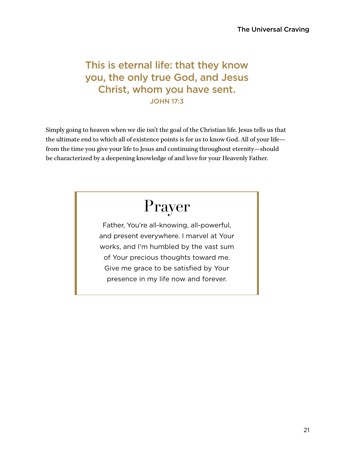#### This is eternal life: that they know you, the only true God, and Jesus Christ, whom you have sent. JOHN 17:3

Simply going to heaven when we die isn't the goal of the Christian life. Jesus tells us that the ultimate end to which all of existence points is for us to know God. All of your life from the time you give your life to Jesus and continuing throughout eternity—should be characterized by a deepening knowledge of and love for your Heavenly Father.

# Prayer

Father, You're all-knowing, all-powerful, and present everywhere. I marvel at Your works, and I'm humbled by the vast sum of Your precious thoughts toward me. Give me grace to be satisfied by Your presence in my life now and forever.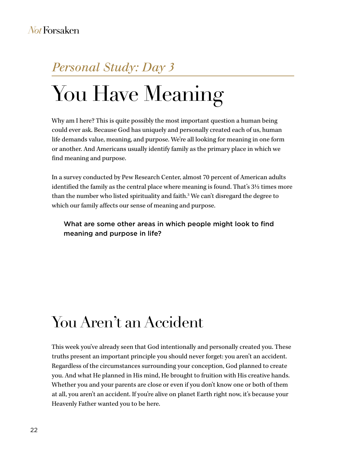### *Personal Study: Day 3*

# You Have Meaning

Why am I here? This is quite possibly the most important question a human being could ever ask. Because God has uniquely and personally created each of us, human life demands value, meaning, and purpose. We're all looking for meaning in one form or another. And Americans usually identify family as the primary place in which we find meaning and purpose.

In a survey conducted by Pew Research Center, almost 70 percent of American adults identified the family as the central place where meaning is found. That's 3½ times more than the number who listed spirituality and faith.3 We can't disregard the degree to which our family affects our sense of meaning and purpose.

What are some other areas in which people might look to find meaning and purpose in life?

# You Aren't an Accident

This week you've already seen that God intentionally and personally created you. These truths present an important principle you should never forget: you aren't an accident. Regardless of the circumstances surrounding your conception, God planned to create you. And what He planned in His mind, He brought to fruition with His creative hands. Whether you and your parents are close or even if you don't know one or both of them at all, you aren't an accident. If you're alive on planet Earth right now, it's because your Heavenly Father wanted you to be here.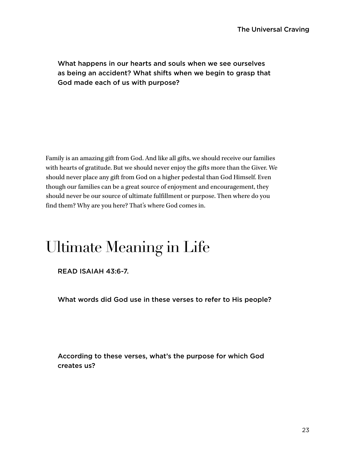#### What happens in our hearts and souls when we see ourselves as being an accident? What shifts when we begin to grasp that God made each of us with purpose?

Family is an amazing gift from God. And like all gifts, we should receive our families with hearts of gratitude. But we should never enjoy the gifts more than the Giver. We should never place any gift from God on a higher pedestal than God Himself. Even though our families can be a great source of enjoyment and encouragement, they should never be our source of ultimate fulfillment or purpose. Then where do you find them? Why are you here? That's where God comes in.

# Ultimate Meaning in Life

READ ISAIAH 43:6-7.

What words did God use in these verses to refer to His people?

According to these verses, what's the purpose for which God creates us?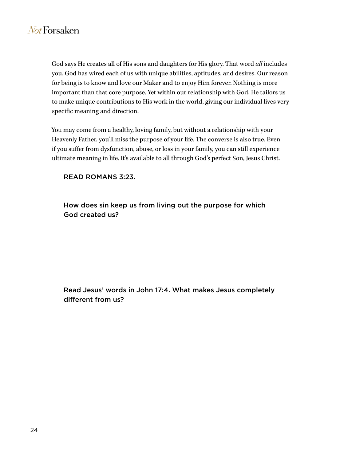God says He creates all of His sons and daughters for His glory. That word *all* includes you. God has wired each of us with unique abilities, aptitudes, and desires. Our reason for being is to know and love our Maker and to enjoy Him forever. Nothing is more important than that core purpose. Yet within our relationship with God, He tailors us to make unique contributions to His work in the world, giving our individual lives very specific meaning and direction.

You may come from a healthy, loving family, but without a relationship with your Heavenly Father, you'll miss the purpose of your life. The converse is also true. Even if you suffer from dysfunction, abuse, or loss in your family, you can still experience ultimate meaning in life. It's available to all through God's perfect Son, Jesus Christ.

#### READ ROMANS 3:23.

How does sin keep us from living out the purpose for which God created us?

Read Jesus' words in John 17:4. What makes Jesus completely different from us?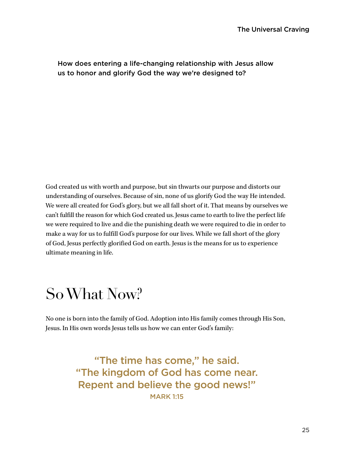#### How does entering a life-changing relationship with Jesus allow us to honor and glorify God the way we're designed to?

God created us with worth and purpose, but sin thwarts our purpose and distorts our understanding of ourselves. Because of sin, none of us glorify God the way He intended. We were all created for God's glory, but we all fall short of it. That means by ourselves we can't fulfill the reason for which God created us. Jesus came to earth to live the perfect life we were required to live and die the punishing death we were required to die in order to make a way for us to fulfill God's purpose for our lives. While we fall short of the glory of God, Jesus perfectly glorified God on earth. Jesus is the means for us to experience ultimate meaning in life.

### So What Now?

No one is born into the family of God. Adoption into His family comes through His Son, Jesus. In His own words Jesus tells us how we can enter God's family:

> "The time has come," he said. "The kingdom of God has come near. Repent and believe the good news!" MARK 1:15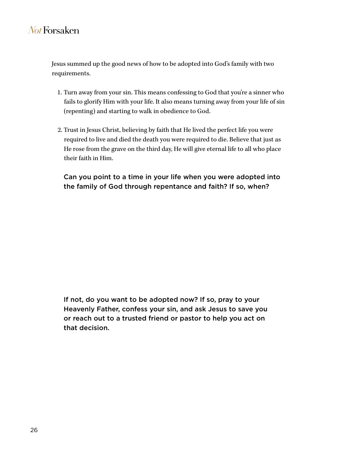Jesus summed up the good news of how to be adopted into God's family with two requirements.

- 1. Turn away from your sin. This means confessing to God that you're a sinner who fails to glorify Him with your life. It also means turning away from your life of sin (repenting) and starting to walk in obedience to God.
- 2. Trust in Jesus Christ, believing by faith that He lived the perfect life you were required to live and died the death you were required to die. Believe that just as He rose from the grave on the third day, He will give eternal life to all who place their faith in Him.

Can you point to a time in your life when you were adopted into the family of God through repentance and faith? If so, when?

If not, do you want to be adopted now? If so, pray to your Heavenly Father, confess your sin, and ask Jesus to save you or reach out to a trusted friend or pastor to help you act on that decision.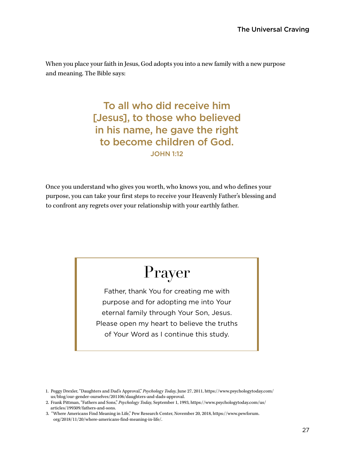When you place your faith in Jesus, God adopts you into a new family with a new purpose and meaning. The Bible says:

> To all who did receive him [Jesus], to those who believed in his name, he gave the right to become children of God. JOHN 1:12

Once you understand who gives you worth, who knows you, and who defines your purpose, you can take your first steps to receive your Heavenly Father's blessing and to confront any regrets over your relationship with your earthly father.

# Prayer

Father, thank You for creating me with purpose and for adopting me into Your eternal family through Your Son, Jesus. Please open my heart to believe the truths of Your Word as I continue this study.

<sup>1.</sup> Peggy Drexler, "Daughters and Dad's Approval," *Psychology Today,* June 27, 2011, https://www.psychologytoday.com/ us/blog/our-gender-ourselves/201106/daughters-and-dads-approval.

<sup>2.</sup> Frank Pittman, "Fathers and Sons," *Psychology Today,* September 1, 1993, https://www.psychologytoday.com/us/ articles/199309/fathers-and-sons.

<sup>3. &</sup>quot;Where Americans Find Meaning in Life," Pew Research Center, November 20, 2018, https://www.pewforum. org/2018/11/20/where-americans-find-meaning-in-life/.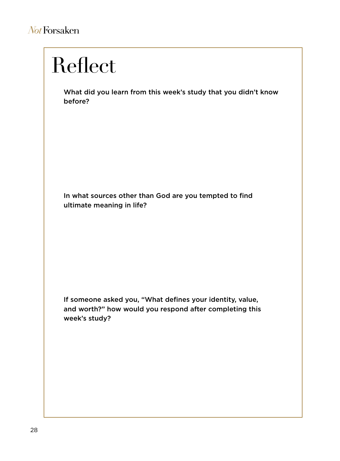# Reflect

What did you learn from this week's study that you didn't know before?

In what sources other than God are you tempted to find ultimate meaning in life?

If someone asked you, "What defines your identity, value, and worth?" how would you respond after completing this week's study?